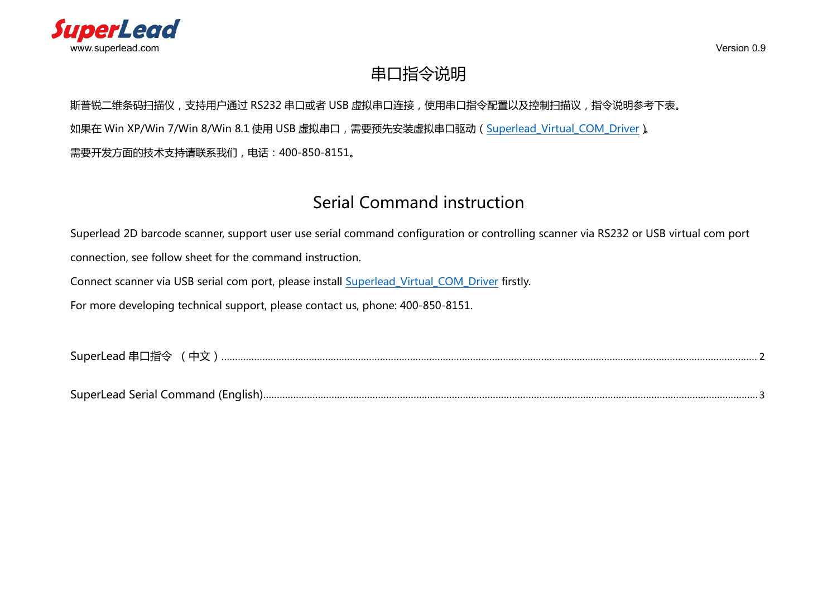

### 串口指令说明

斯普锐二维条码扫描仪, 支持用户通过 RS232 串口或者 USB 虚拟串口连接, 使用串口指令配置以及控制扫描议, 指令说明参考下表。 如果在 Win XP/Win 7/Win 8/Win 8.1 使用 USB 虚拟串口,需要预先安装虚拟串口驱动[\(Superlead\\_Virtual\\_COM\\_Driver](http://www.superlead.com/down-2.html))。 需要开发方面的技术支持请联系我们,电话:400-850-8151。

## Serial Command instruction

Superlead 2D barcode scanner, support user use serial command configuration or controlling scanner via RS232 or USB virtual com port connection, see follow sheet for the command instruction.

Connect scanner via USB serial com port, please install [Superlead\\_Virtual\\_COM\\_Driver](http://www.superlead.com/down-2.html) firstly.

For more developing technical support, please contact us, phone: 400-850-8151.

<span id="page-0-0"></span>SuperLead Serial Command (English)[.....................................................................................................................................................................................](#page-1-0)3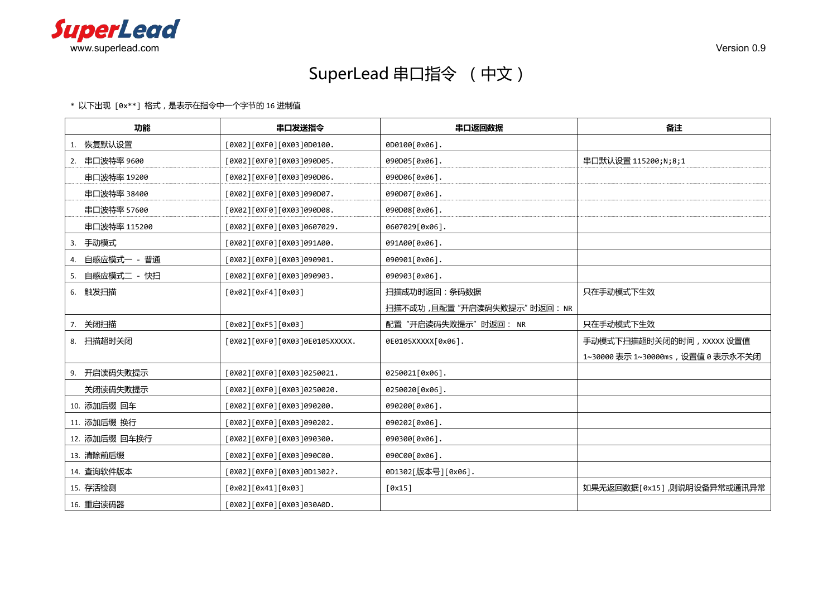

# SuperLead 串口指令 (中文)

#### \* 以下出现 [0x\*\*] 格式,是表示在指令中一个字节的 16 进制值

<span id="page-1-0"></span>

|    | 功能            | 串口发送指令                        | 串口返回数据                          | 备注                                |
|----|---------------|-------------------------------|---------------------------------|-----------------------------------|
|    | 恢复默认设置        | [0x02][0xF0][0x03]0D0100.     | 0D0100[0x06].                   |                                   |
|    | 2. 串口波特率 9600 | [0X02][0XF0][0X03]090D05.     | 090D05[0x06].                   | 串口默认设置 115200;N;8;1               |
|    | 串口波特率 19200   | [0x02][0xF0][0x03]090D06.     | 090D06[0x06].                   |                                   |
|    | 串口波特率 38400   | [0x02][0xF0][0x03]090D07.     | 090D07[0x06].                   |                                   |
|    | 串口波特率 57600   | [0x02][0xF0][0x03]090D08.     | 090D08[0x06].                   |                                   |
|    | 串口波特率 115200  | [0x02][0xF0][0x03]0607029.    | 0607029[0x06].                  |                                   |
|    | 手动模式          | [0x02][0xF0][0x03]091A00.     | 091A00[0x06].                   |                                   |
|    | 自感应模式一 - 普通   | [0x02][0xF0][0x03]090901.     | 090901[0x06].                   |                                   |
| 5. | 自感应模式二 - 快扫   | [0x02][0xF0][0x03]090903.     | 090903[0x06].                   |                                   |
|    | 6. 触发扫描       | [0x02][0xF4][0x03]            | 扫描成功时返回:条码数据                    | 只在手动模式下生效                         |
|    |               |                               | 扫描不成功,且配置"开启读码失败提示"时返回: NR      |                                   |
|    | 关闭扫描          | [0x02][0xF5][0x03]            | 配置"开启读码失败提示"时返回: NR             | 只在手动模式下生效                         |
|    | 8. 扫描超时关闭     | [0X02][0XF0][0X03]0E0105XXXX. | 0E0105XXXXX[0x06].              | 手动模式下扫描超时关闭的时间, XXXXX 设置值         |
|    |               |                               |                                 | 1~30000 表示 1~30000ms,设置值 0 表示永不关闭 |
|    | 9. 开启读码失败提示   | [0x02][0xF0][0x03]0250021.    | 0250021[0x06].                  |                                   |
|    | 关闭读码失败提示      | [0X02][0XF0][0X03]0250020.    | 0250020[0x06].                  |                                   |
|    | 10. 添加后缀 回车   | [0x02][0xF0][0x03]090200.     | 090200[0x06].                   |                                   |
|    | 11. 添加后缀 换行   | [0x02][0xF0][0x03]090202.     | 090202[0x06].                   |                                   |
|    | 12. 添加后缀 回车换行 | [0x02][0xF0][0x03]090300.     | 090300[0x06].                   |                                   |
|    | 13. 清除前后缀     | [0x02][0xF0][0x03]090C00.     | 090C00[0x06].                   |                                   |
|    | 14. 查询软件版本    | $[0X02][0XF0][0X03]0D1302$ ?. | 0D1302[版本 <del>号</del> ][0x06]. |                                   |
|    | 15. 存活检测      | [0x02][0x41][0x03]            | [0x15]                          | 如果无返回数据[0x15],则说明设备异常或通讯异常        |
|    | 16. 重启读码器     | [0x02][0xF0][0x03]030A0D.     |                                 |                                   |